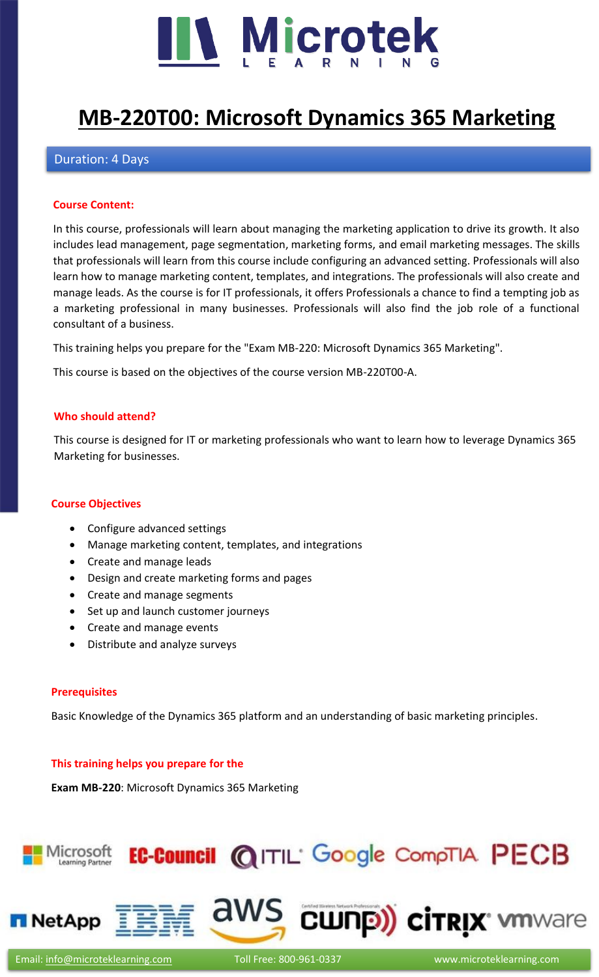

# **[MB-220T00: Microsoft Dynamics 365 Marketing](https://www.microteklearning.com/mb220-microsoft-dynamics-365-marketing-training/)**

## Duration: 4 Days

#### **Course Content:**

In this course, professionals will learn about managing the marketing application to drive its growth. It also includes lead management, page segmentation, marketing forms, and email marketing messages. The skills that professionals will learn from this course include configuring an advanced setting. Professionals will also learn how to manage marketing content, templates, and integrations. The professionals will also create and manage leads. As the course is for IT professionals, it offers Professionals a chance to find a tempting job as a marketing professional in many businesses. Professionals will also find the job role of a functional consultant of a business.

This training helps you prepare for the "Exam MB-220: Microsoft Dynamics 365 Marketing".

This course is based on the objectives of the course version MB-220T00-A.

#### **Who should attend?**

This course is designed for IT or marketing professionals who want to learn how to leverage Dynamics 365 Marketing for businesses.

#### **Course Objectives**

- Configure advanced settings
- Manage marketing content, templates, and integrations
- Create and manage leads
- Design and create marketing forms and pages
- Create and manage segments
- Set up and launch customer journeys
- Create and manage events
- Distribute and analyze surveys

#### **Prerequisites**

Basic Knowledge of the Dynamics 365 platform and an understanding of basic marketing principles.

#### **This training helps you prepare for the**

**Exam MB-220**: Microsoft Dynamics 365 Marketing

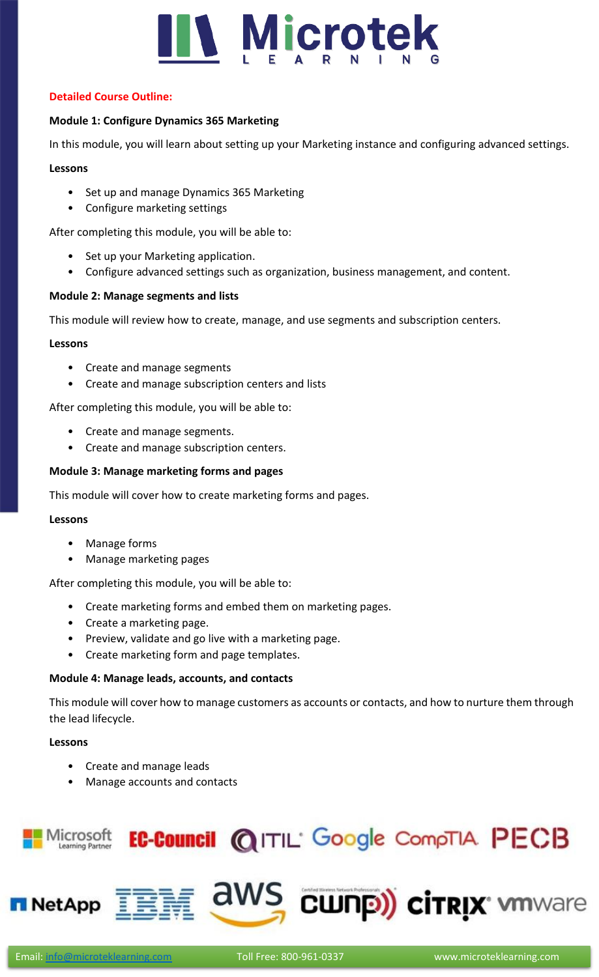

# **Detailed Course Outline:**

# **Module 1: Configure Dynamics 365 Marketing**

In this module, you will learn about setting up your Marketing instance and configuring advanced settings.

### **Lessons**

- Set up and manage Dynamics 365 Marketing
- Configure marketing settings

After completing this module, you will be able to:

- Set up your Marketing application.
- Configure advanced settings such as organization, business management, and content.

### **Module 2: Manage segments and lists**

This module will review how to create, manage, and use segments and subscription centers.

#### **Lessons**

- Create and manage segments
- Create and manage subscription centers and lists

After completing this module, you will be able to:

- Create and manage segments.
- Create and manage subscription centers.

### **Module 3: Manage marketing forms and pages**

This module will cover how to create marketing forms and pages.

#### **Lessons**

- Manage forms
- Manage marketing pages

After completing this module, you will be able to:

- Create marketing forms and embed them on marketing pages.
- Create a marketing page.
- Preview, validate and go live with a marketing page.
- Create marketing form and page templates.

#### **Module 4: Manage leads, accounts, and contacts**

This module will cover how to manage customers as accounts or contacts, and how to nurture them through the lead lifecycle.

#### **Lessons**

- Create and manage leads
- Manage accounts and contacts

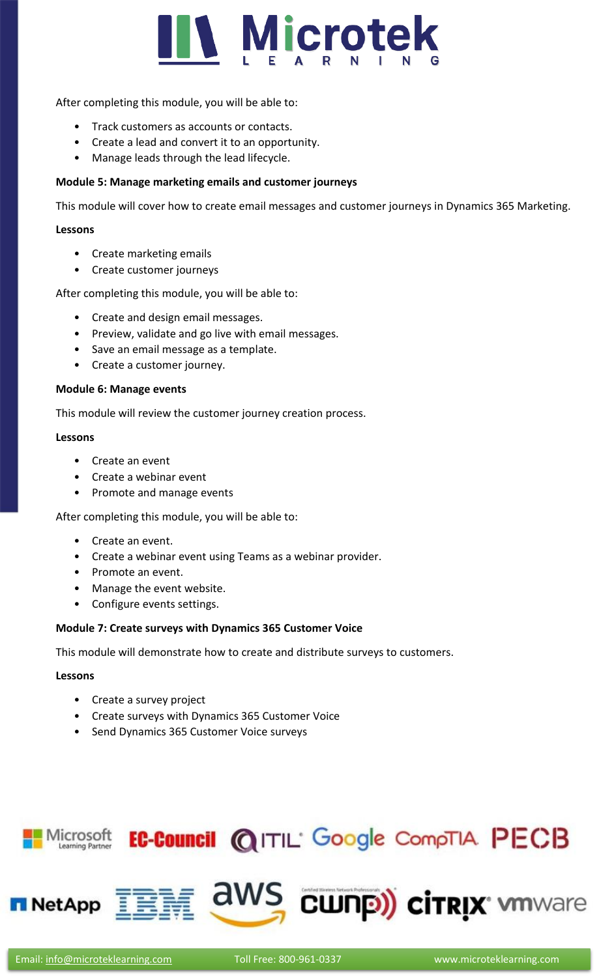

After completing this module, you will be able to:

- Track customers as accounts or contacts.
- Create a lead and convert it to an opportunity.
- Manage leads through the lead lifecycle.

#### **Module 5: Manage marketing emails and customer journeys**

This module will cover how to create email messages and customer journeys in Dynamics 365 Marketing.

#### **Lessons**

- Create marketing emails
- Create customer journeys

After completing this module, you will be able to:

- Create and design email messages.
- Preview, validate and go live with email messages.
- Save an email message as a template.
- Create a customer journey.

#### **Module 6: Manage events**

This module will review the customer journey creation process.

#### **Lessons**

- Create an event
- Create a webinar event
- Promote and manage events

After completing this module, you will be able to:

- Create an event.
- Create a webinar event using Teams as a webinar provider.
- Promote an event.
- Manage the event website.
- Configure events settings.

#### **Module 7: Create surveys with Dynamics 365 Customer Voice**

This module will demonstrate how to create and distribute surveys to customers.

#### **Lessons**

- Create a survey project
- Create surveys with Dynamics 365 Customer Voice
- Send Dynamics 365 Customer Voice surveys